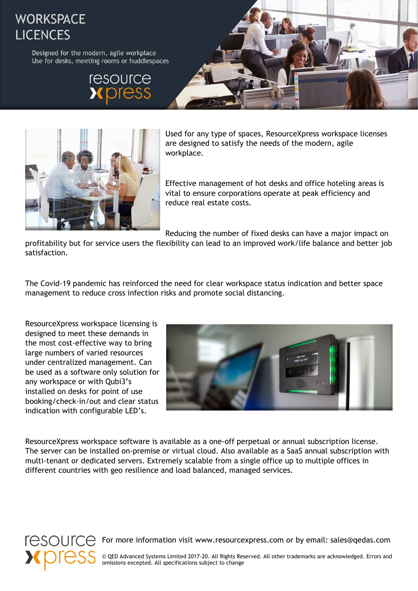## **WORKSPACE LICENCES**

Designed for the modern, agile workplace Use for desks, meeting rooms or huddlespaces







Used for any type of spaces, ResourceXpress workspace licenses are designed to satisfy the needs of the modern, agile workplace.

Effective management of hot desks and office hoteling areas is vital to ensure corporations operate at peak efficiency and reduce real estate costs.

Reducing the number of fixed desks can have a major impact on

profitability but for service users the flexibility can lead to an improved work/life balance and better job satisfaction.

The Covid-19 pandemic has reinforced the need for clear workspace status indication and better space management to reduce cross infection risks and promote social distancing.

ResourceXpress workspace licensing is designed to meet these demands in the most cost-effective way to bring large numbers of varied resources under centralized management. Can be used as a software only solution for any workspace or with Qubi3's installed on desks for point of use booking/check-in/out and clear status indication with configurable LED's.



ResourceXpress workspace software is available as a one-off perpetual or annual subscription license. The server can be installed on-premise or virtual cloud. Also available as a SaaS annual subscription with multi-tenant or dedicated servers. Extremely scalable from a single office up to multiple offices in different countries with geo resilience and load balanced, managed services.



 $F\ominus$ SOUIC $\ominus$  For more information visit www.resourcexpress.com or by email: sales@qedas.com

© QED Advanced Systems Limited 2017-20. All Rights Reserved. All other trademarks are acknowledged. Errors and omissions excepted. All specifications subject to change